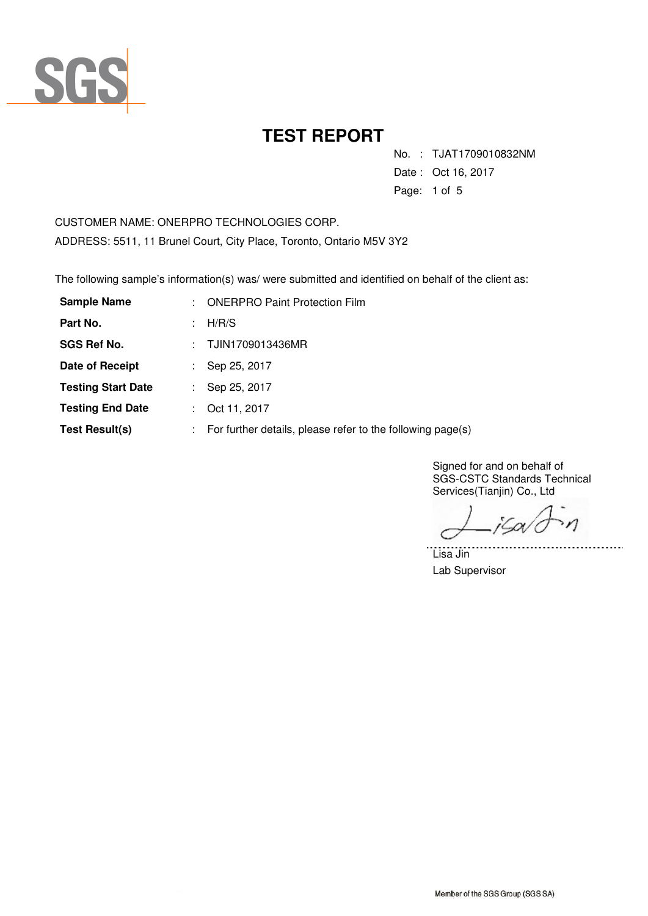

No. : TJAT1709010832NM

Date : Oct 16, 2017

Page: 1 of 5

CUSTOMER NAME: ONERPRO TECHNOLOGIES CORP. ADDRESS: 5511, 11 Brunel Court, City Place, Toronto, Ontario M5V 3Y2

The following sample's information(s) was/ were submitted and identified on behalf of the client as:

| <b>Sample Name</b>        | t. | <b>ONERPRO Paint Protection Film</b>                                    |
|---------------------------|----|-------------------------------------------------------------------------|
| Part No.                  |    | H/R/S                                                                   |
| <b>SGS Ref No.</b>        | ÷. | TJIN1709013436MR                                                        |
| Date of Receipt           |    | Sep 25, 2017                                                            |
| <b>Testing Start Date</b> |    | Sep 25, 2017                                                            |
| <b>Testing End Date</b>   |    | Oct 11, 2017                                                            |
| Test Result(s)            |    | $\therefore$ For further details, please refer to the following page(s) |

Signed for and on behalf of SGS-CSTC Standards Technical Services(Tianjin) Co., Ltd

jSa/c  $\mathcal{M}$ 

. . . . . . .

Lisa Jin Lab Supervisor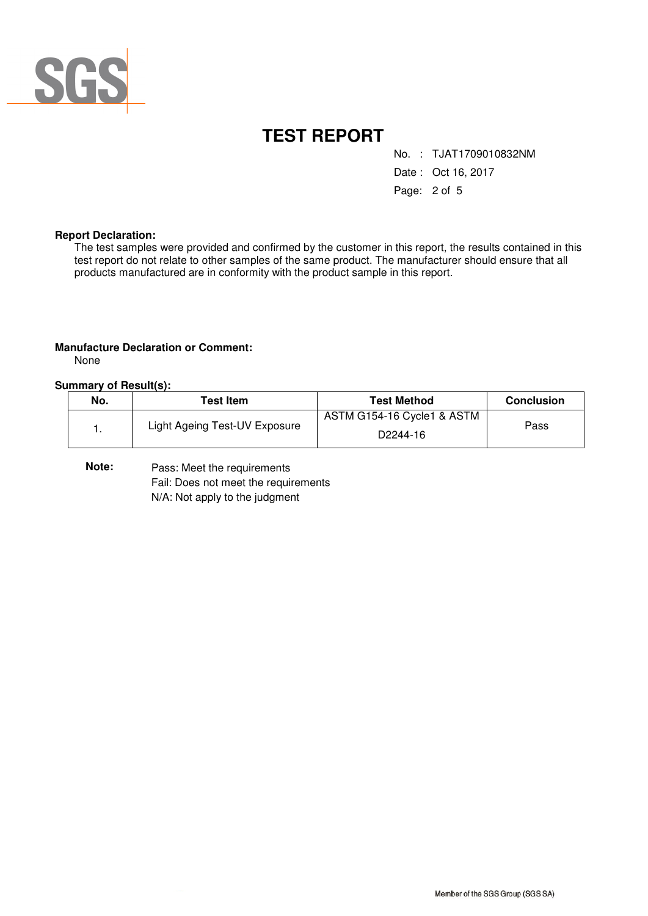

No. : TJAT1709010832NM

Date : Oct 16, 2017

Page: 2 of 5

#### **Report Declaration:**

The test samples were provided and confirmed by the customer in this report, the results contained in this test report do not relate to other samples of the same product. The manufacturer should ensure that all products manufactured are in conformity with the product sample in this report.

#### **Manufacture Declaration or Comment:**

None

#### **Summary of Result(s):**

| No. | <b>Test Item</b>              | Test Method                                         | <b>Conclusion</b> |
|-----|-------------------------------|-----------------------------------------------------|-------------------|
|     | Light Ageing Test-UV Exposure | ASTM G154-16 Cycle1 & ASTM<br>D <sub>2244</sub> -16 | Pass              |

**Note:** Pass: Meet the requirements Fail: Does not meet the requirements N/A: Not apply to the judgment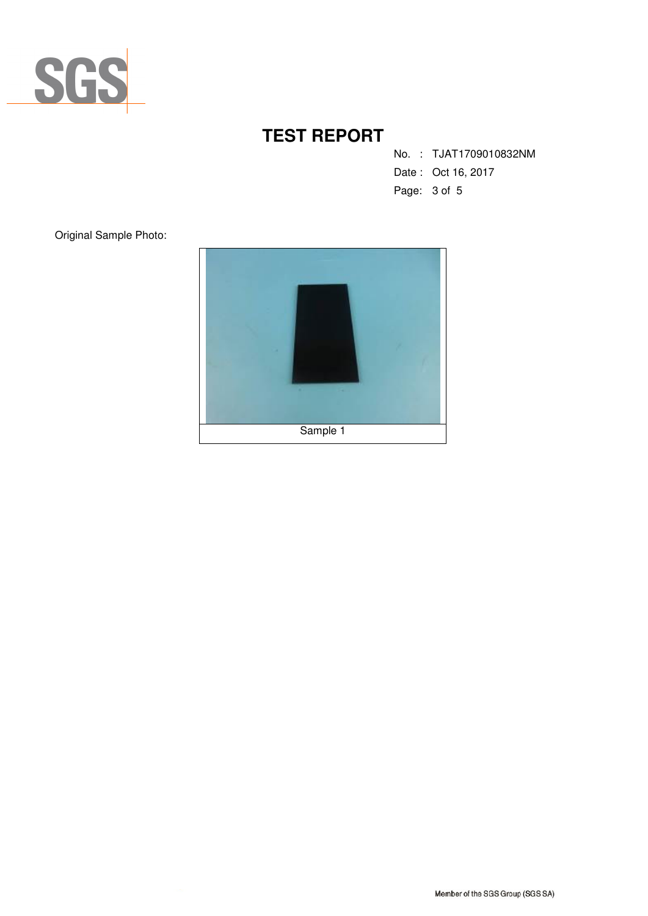

No. : TJAT1709010832NM

- Date : Oct 16, 2017
- Page: 3 of 5

Original Sample Photo:

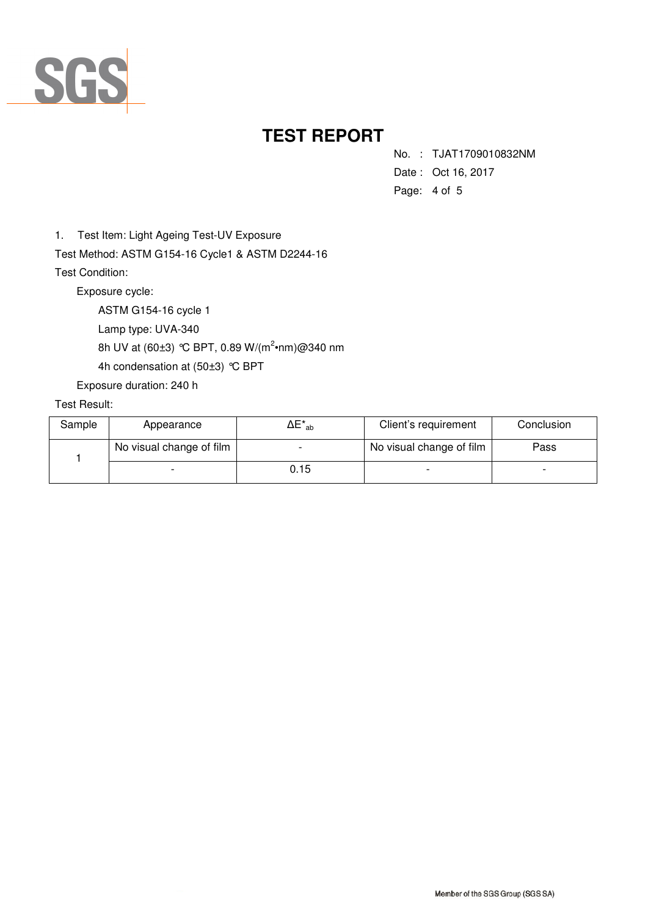

No. : TJAT1709010832NM

- Date : Oct 16, 2017
- Page: 4 of 5

1. Test Item: Light Ageing Test-UV Exposure

Test Method: ASTM G154-16 Cycle1 & ASTM D2244-16 Test Condition:

Exposure cycle:

ASTM G154-16 cycle 1

Lamp type: UVA-340

8h UV at (60±3) °C BPT, 0.89 W/(m<sup>2</sup>•nm)@340 nm

4h condensation at (50±3) °C BPT

Exposure duration: 240 h

### Test Result:

| Sample | Appearance               | $\Delta E^*_{\ \,ab}$ | Client's requirement     | Conclusion |
|--------|--------------------------|-----------------------|--------------------------|------------|
|        | No visual change of film |                       | No visual change of film | Pass       |
|        |                          | 0.15                  |                          |            |